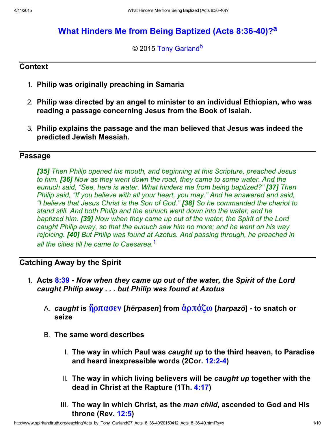# Wh[a](#page-9-0)t Hinders Me from Being Baptized (Acts 8:36-40)?<sup>a</sup>

#### <span id="page-0-2"></span><span id="page-0-1"></span>© 2015 [Tony Garland](http://www.spiritandtruth.org/id/tg.htm)<sup>[b](#page-9-1)</sup>

#### **Context**

- 1. Philip was originally preaching in Samaria
- 2. Philip was directed by an angel to minister to an individual Ethiopian, who was reading a passage concerning Jesus from the Book of Isaiah.
- 3. Philip explains the passage and the man believed that Jesus was indeed the predicted Jewish Messiah.

### Passage

[35] Then Philip opened his mouth, and beginning at this Scripture, preached Jesus to him. [36] Now as they went down the road, they came to some water. And the eunuch said, "See, here is water. What hinders me from being baptized?" [37] Then Philip said, "If you believe with all your heart, you may." And he answered and said, "I believe that Jesus Christ is the Son of God." [38] So he commanded the chariot to stand still. And both Philip and the eunuch went down into the water, and he baptized him. [39] Now when they came up out of the water, the Spirit of the Lord caught Philip away, so that the eunuch saw him no more; and he went on his way rejoicing. **[40]** But Philip was found at Azotus. And passing through, he preached in all the cities till he came to Caesarea.<sup>[1](#page-8-0)</sup>

### Catching Away by the Spirit

- <span id="page-0-0"></span>1. Acts  $8:39$  - Now when they came up out of the water, the Spirit of the Lord caught Philip away . . . but Philip was found at Azotus
	- A. caught is  $\eta$ <sup>1</sup> (b)  $\pi$ ασεν [hērpasen] from  $\alpha$ <sub>0</sub> $\pi$ άζω [harpazō] to snatch or seize
	- B. The same word describes
		- I. The way in which Paul was caught up to the third heaven, to Paradise and heard inexpressible words (2Cor. [12:24\)](http://www.spiritandtruth.org/bibles/nasb/b47c012.htm#2Cor._C12V2)
		- II. The way in which living believers will be caught up together with the dead in Christ at the Rapture (1Th. [4:17\)](http://www.spiritandtruth.org/bibles/nasb/b52c004.htm#1Th._C4V17)
		- III. The way in which Christ, as the man child, ascended to God and His throne (Rev. [12:5\)](http://www.spiritandtruth.org/bibles/nasb/b66c012.htm#Rev._C12V5)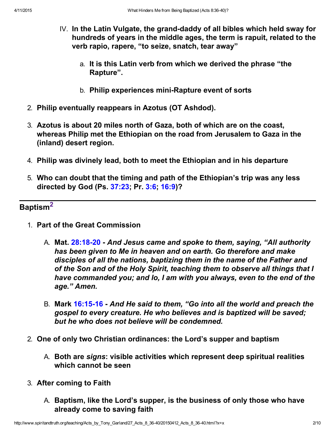- $IV.$  In the Latin Vulgate, the grand-daddy of all bibles which held sway for hundreds of years in the middle ages, the term is rapuit, related to the verb rapio, rapere, "to seize, snatch, tear away"
	- a. It is this Latin verb from which we derived the phrase "the Rapture".
	- b. Philip experiences mini-Rapture event of sorts
- 2. Philip eventually reappears in Azotus (OT Ashdod).
- 3. Azotus is about 20 miles north of Gaza, both of which are on the coast, whereas Philip met the Ethiopian on the road from Jerusalem to Gaza in the (inland) desert region.
- 4. Philip was divinely lead, both to meet the Ethiopian and in his departure
- 5. Who can doubt that the timing and path of the Ethiopian's trip was any less directed by God (Ps. [37:23](http://www.spiritandtruth.org/bibles/nasb/b19c037.htm#Ps._C37V23); Pr. [3:6;](http://www.spiritandtruth.org/bibles/nasb/b20c003.htm#Pr._C3V6) [16:9\)](http://www.spiritandtruth.org/bibles/nasb/b20c016.htm#Pr._C16V9)?

## Baptism[2](#page-8-1)

- <span id="page-1-0"></span>1. Part of the Great Commission
	- A. Mat. 28:18-20 And Jesus came and spoke to them, saying, "All authority has been given to Me in heaven and on earth. Go therefore and make disciples of all the nations, baptizing them in the name of the Father and of the Son and of the Holy Spirit, teaching them to observe all things that I have commanded you; and lo, I am with you always, even to the end of the age." Amen.
	- B. Mark 16:15-16 And He said to them, "Go into all the world and preach the gospel to every creature. He who believes and is baptized will be saved; but he who does not believe will be condemned.
- 2. One of only two Christian ordinances: the Lord's supper and baptism
	- A. Both are signs: visible activities which represent deep spiritual realities which cannot be seen
- 3. After coming to Faith
	- A. Baptism, like the Lord's supper, is the business of only those who have already come to saving faith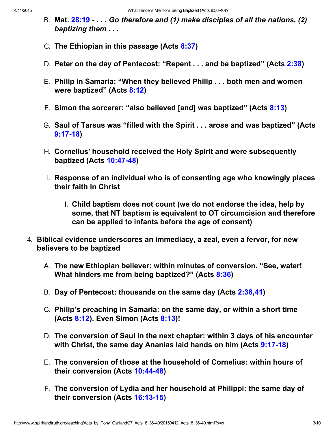- B. Mat. [28:19](http://www.spiritandtruth.org/bibles/nasb/b40c028.htm#Mat._C28V19)  . . . Go therefore and (1) make disciples of all the nations, (2) baptizing them . . .
- C. The Ethiopian in this passage (Acts  $8:37$ )
- D. Peter on the day of Pentecost: "Repent . . . and be baptized" (Acts [2:38\)](http://www.spiritandtruth.org/bibles/nasb/b44c002.htm#Acts_C2V38)
- E. Philip in Samaria: "When they believed Philip . . . both men and women were baptized" (Acts [8:12\)](http://www.spiritandtruth.org/bibles/nasb/b44c008.htm#Acts_C8V12)
- F. Simon the sorcerer: "also believed [and] was baptized" (Acts [8:13\)](http://www.spiritandtruth.org/bibles/nasb/b44c008.htm#Acts_C8V13)
- G. Saul of Tarsus was "filled with the Spirit . . . arose and was baptized" (Acts  $9:17-18$
- H. Cornelius' household received the Holy Spirit and were subsequently baptized (Acts 10:47-48)
- I. Response of an individual who is of consenting age who knowingly places their faith in Christ
	- I. Child baptism does not count (we do not endorse the idea, help by some, that NT baptism is equivalent to OT circumcision and therefore can be applied to infants before the age of consent)
- 4. Biblical evidence underscores an immediacy, a zeal, even a fervor, for new believers to be baptized
	- A. The new Ethiopian believer: within minutes of conversion. "See, water! What hinders me from being baptized?" (Acts [8:36](http://www.spiritandtruth.org/bibles/nasb/b44c008.htm#Acts_C8V36))
	- B. Day of Pentecost: thousands on the same day (Acts [2:38](http://www.spiritandtruth.org/bibles/nasb/b44c002.htm#Acts_C2V38).41)
	- C. Philip's preaching in Samaria: on the same day, or within a short time (Acts [8:12\)](http://www.spiritandtruth.org/bibles/nasb/b44c008.htm#Acts_C8V12). Even Simon (Acts [8:13\)](http://www.spiritandtruth.org/bibles/nasb/b44c008.htm#Acts_C8V13)!
	- D. The conversion of Saul in the next chapter: within 3 days of his encounter with Christ, the same day Ananias laid hands on him (Acts 9:17-18)
	- E. The conversion of those at the household of Cornelius: within hours of their conversion (Acts 10:44-48)
	- F. The conversion of Lydia and her household at Philippi: the same day of their conversion (Acts 16:13-15)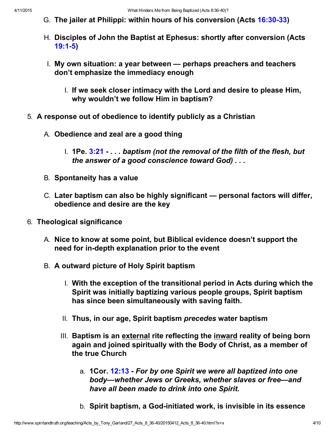- G. The jailer at Philippi: within hours of his conversion (Acts 16:30-33)
- H. Disciples of John the Baptist at Ephesus: shortly after conversion (Acts [19:15\)](http://www.spiritandtruth.org/bibles/nasb/b44c019.htm#Acts_C19V1)
- I. My own situation: a year between perhaps preachers and teachers don't emphasize the immediacy enough
	- I. If we seek closer intimacy with the Lord and desire to please Him, why wouldn't we follow Him in baptism?
- 5. A response out of obedience to identify publicly as a Christian
	- A. Obedience and zeal are a good thing
		- $I. 1$ Pe.  $3:21$   $\ldots$  baptism (not the removal of the filth of the flesh, but the answer of a good conscience toward God) . . .
	- B. Spontaneity has a value
	- C. Later baptism can also be highly significant personal factors will differ, obedience and desire are the key
- 6. Theological significance
	- A. Nice to know at some point, but Biblical evidence doesn't support the need for in-depth explanation prior to the event
	- B. A outward picture of Holy Spirit baptism
		- I. With the exception of the transitional period in Acts during which the Spirit was initially baptizing various people groups, Spirit baptism has since been simultaneously with saving faith.
		- II. Thus, in our age, Spirit baptism precedes water baptism
		- III. Baptism is an external rite reflecting the <u>inward</u> reality of being born again and joined spiritually with the Body of Christ, as a member of the true Church
			- a. **1Cor. [12:13](http://www.spiritandtruth.org/bibles/nasb/b46c012.htm#1Cor._C12V13) For by one Spirit we were all baptized into one** body—whether Jews or Greeks, whether slaves or free—and have all been made to drink into one Spirit.
			- b. Spirit baptism, a God-initiated work, is invisible in its essence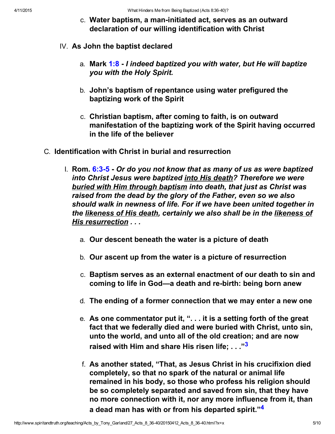- c. Water baptism, a man-initiated act, serves as an outward declaration of our willing identification with Christ
- IV. As John the baptist declared
	- a. Mark  $1:8$  I indeed baptized you with water, but He will baptize you with the Holy Spirit.
	- b. John's baptism of repentance using water prefigured the baptizing work of the Spirit
	- c. Christian baptism, after coming to faith, is on outward manifestation of the baptizing work of the Spirit having occurred in the life of the believer
- <span id="page-4-1"></span><span id="page-4-0"></span>C. Identification with Christ in burial and resurrection
	- I. Rom.  $6:3-5$  Or do you not know that as many of us as were baptized into Christ Jesus were baptized into His death? Therefore we were buried with Him through baptism into death, that just as Christ was raised from the dead by the glory of the Father, even so we also should walk in newness of life. For if we have been united together in the likeness of His death, certainly we also shall be in the likeness of His resurrection . . .
		- a. Our descent beneath the water is a picture of death
		- b. Our ascent up from the water is a picture of resurrection
		- c. Baptism serves as an external enactment of our death to sin and coming to life in God—a death and re-birth: being born anew
		- d. The ending of a former connection that we may enter a new one
		- e. As one commentator put it, ". . . it is a setting forth of the great fact that we federally died and were buried with Christ, unto sin, unto the world, and unto all of the old creation; and are now raised with Him and share His risen life; . . . "[3](#page-8-2)
		- f. As another stated, "That, as Jesus Christ in his crucifixion died completely, so that no spark of the natural or animal life remained in his body, so those who profess his religion should be so completely separated and saved from sin, that they have no more connection with it, nor any more influence from it, than a dead man has with or from his departed spirit."<sup>[4](#page-8-3)</sup>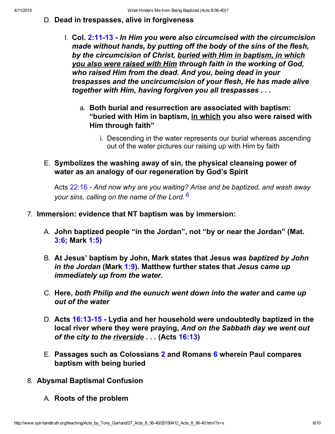#### D. Dead in trespasses, alive in forgiveness

- $I.$  Col. 2:11-13 In Him you were also circumcised with the circumcision made without hands, by putting off the body of the sins of the flesh, by the circumcision of Christ, buried with Him in baptism, in which you also were raised with Him through faith in the working of God, who raised Him from the dead. And you, being dead in your trespasses and the uncircumcision of your flesh, He has made alive together with Him, having forgiven you all trespasses . . .
	- a. Both burial and resurrection are associated with baptism: "buried with Him in baptism, in which you also were raised with Him through faith"
		- i. Descending in the water represents our burial whereas ascending out of the water pictures our raising up with Him by faith
- E. Symbolizes the washing away of sin, the physical cleansing power of water as an analogy of our regeneration by God's Spirit

<span id="page-5-0"></span>Acts [22:16](http://www.spiritandtruth.org/bibles/nasb/b44c022.htm#Acts_C22V16) - And now why are you waiting? Arise and be baptized, and wash away your sins, calling on the name of the Lord.<sup>[5](#page-8-4)</sup>

- 7. Immersion: evidence that NT baptism was by immersion:
	- A. John baptized people "in the Jordan", not "by or near the Jordan" (Mat. [3:6;](http://www.spiritandtruth.org/bibles/nasb/b40c003.htm#Mat._C3V6) Mark [1:5\)](http://www.spiritandtruth.org/bibles/nasb/b41c001.htm#Mark_C1V5)
	- B. At Jesus' baptism by John, Mark states that Jesus was baptized by John in the Jordan (Mark [1:9\)](http://www.spiritandtruth.org/bibles/nasb/b41c001.htm#Mark_C1V9). Matthew further states that Jesus came up immediately up from the water.
	- C. Here, both Philip and the eunuch went down into the water and came up out of the water
	- D. Acts 16:13-15 Lydia and her household were undoubtedly baptized in the local river where they were praying, And on the Sabbath day we went out of the city to the riverside . . . (Acts [16:13](http://www.spiritandtruth.org/bibles/nasb/b44c016.htm#Acts_C16V13))
	- E. Passages such as Colossians [2](http://www.spiritandtruth.org/bibles/nasb/b51c002.htm#Col._C2V1) and Romans [6](http://www.spiritandtruth.org/bibles/nasb/b45c006.htm#Rom._C6V1) wherein Paul compares baptism with being buried
- 8. Abysmal Baptismal Confusion
	- A. Roots of the problem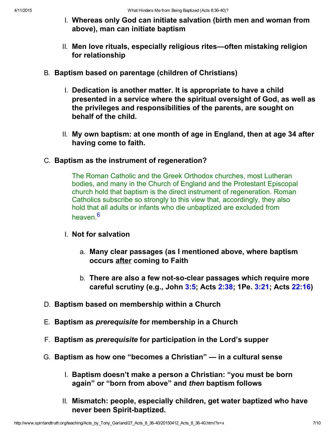- I. Whereas only God can initiate salvation (birth men and woman from above), man can initiate baptism
- II. Men love rituals, especially religious rites—often mistaking religion for relationship
- B. Baptism based on parentage (children of Christians)
	- I. Dedication is another matter. It is appropriate to have a child presented in a service where the spiritual oversight of God, as well as the privileges and responsibilities of the parents, are sought on behalf of the child.
	- II. My own baptism: at one month of age in England, then at age 34 after having come to faith.

#### C. Baptism as the instrument of regeneration?

The Roman Catholic and the Greek Orthodox churches, most Lutheran bodies, and many in the Church of England and the Protestant Episcopal church hold that baptism is the direct instrument of regeneration. Roman Catholics subscribe so strongly to this view that, accordingly, they also hold that all adults or infants who die unbaptized are excluded from heaven <sup>[6](#page-9-2)</sup>

#### <span id="page-6-0"></span>I. Not for salvation

- a. Many clear passages (as I mentioned above, where baptism occurs after coming to Faith
- b. There are also a few not-so-clear passages which require more careful scrutiny (e.g., John [3:5;](http://www.spiritandtruth.org/bibles/nasb/b43c003.htm#John_C3V5) Acts [2:38;](http://www.spiritandtruth.org/bibles/nasb/b44c002.htm#Acts_C2V38) 1Pe. [3:21;](http://www.spiritandtruth.org/bibles/nasb/b60c003.htm#1Pe._C3V21) Acts [22:16\)](http://www.spiritandtruth.org/bibles/nasb/b44c022.htm#Acts_C22V16)
- D. Baptism based on membership within a Church
- E. Baptism as prerequisite for membership in a Church
- F. Baptism as prerequisite for participation in the Lord's supper
- G. Baptism as how one "becomes a Christian" in a cultural sense
	- I. Baptism doesn't make a person a Christian: "you must be born again" or "born from above" and then baptism follows
	- II. Mismatch: people, especially children, get water baptized who have never been Spirit-baptized.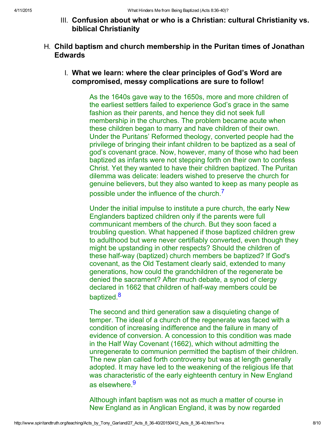- III. Confusion about what or who is a Christian: cultural Christianity vs. biblical Christianity
- H. Child baptism and church membership in the Puritan times of Jonathan **Edwards** 
	- I. What we learn: where the clear principles of God's Word are compromised, messy complications are sure to follow!

As the 1640s gave way to the 1650s, more and more children of the earliest settlers failed to experience God's grace in the same fashion as their parents, and hence they did not seek full membership in the churches. The problem became acute when these children began to marry and have children of their own. Under the Puritans' Reformed theology, converted people had the privilege of bringing their infant children to be baptized as a seal of god's covenant grace. Now, however, many of those who had been baptized as infants were not stepping forth on their own to confess Christ. Yet they wanted to have their children baptized. The Puritan dilemma was delicate: leaders wished to preserve the church for genuine believers, but they also wanted to keep as many people as possible under the influence of the church.[7](#page-9-3)

<span id="page-7-2"></span>Under the initial impulse to institute a pure church, the early New Englanders baptized children only if the parents were full communicant members of the church. But they soon faced a troubling question. What happened if those baptized children grew to adulthood but were never certifiably converted, even though they might be upstanding in other respects? Should the children of these half-way (baptized) church members be baptized? If God's covenant, as the Old Testament clearly said, extended to many generations, how could the grandchildren of the regenerate be denied the sacrament? After much debate, a synod of clergy declared in 1662 that children of half-way members could be baptized.<sup>[8](#page-9-5)</sup>

<span id="page-7-0"></span>The second and third generation saw a disquieting change of temper. The ideal of a church of the regenerate was faced with a condition of increasing indifference and the failure in many of evidence of conversion. A concession to this condition was made in the Half Way Covenant (1662), which without admitting the unregenerate to communion permitted the baptism of their children. The new plan called forth controversy but was at length generally adopted. It may have led to the weakening of the religious life that was characteristic of the early eighteenth century in New England as elsewhere.<sup>[9](#page-9-4)</sup>

<span id="page-7-1"></span>Although infant baptism was not as much a matter of course in New England as in Anglican England, it was by now regarded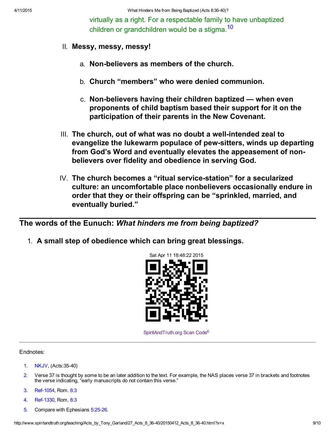4/11/2015 What Hinders Me from Being Baptized (Acts 8:3640)?

<span id="page-8-5"></span>virtually as a right. For a respectable family to have unbaptized children or grandchildren would be a stigma.<sup>[10](#page-9-7)</sup>

- II. Messy, messy, messy!
	- a. Non-believers as members of the church.
	- b. Church "members" who were denied communion.
	- $c.$  Non-believers having their children baptized when even proponents of child baptism based their support for it on the participation of their parents in the New Covenant.
- III. The church, out of what was no doubt a well-intended zeal to evangelize the lukewarm populace of pew-sitters, winds up departing from God's Word and eventually elevates the appeasement of nonbelievers over fidelity and obedience in serving God.
- $IV.$  The church becomes a "ritual service-station" for a secularized culture: an uncomfortable place nonbelievers occasionally endure in order that they or their offspring can be "sprinkled, married, and eventually buried."

The words of the Eunuch: What hinders me from being baptized?

1. A small step of obedience which can bring great blessings.



<span id="page-8-6"></span>[SpiritAndTruth.org Scan Code](http://www.spiritandtruth.org/)<sup>[c](#page-9-6)</sup>

#### Endnotes:

- <span id="page-8-0"></span>[1.](#page-0-0) NKJV, (Acts:3540)
- <span id="page-8-1"></span>[2.](#page-1-0) Verse 37 is thought by some to be an later addition to the text. For example, the NAS places verse 37 in brackets and footnotes the verse indicating, "early manuscripts do not contain this verse."
- <span id="page-8-2"></span>[3.](#page-4-0) Ref-1054, Rom. [6:3](http://www.spiritandtruth.org/bibles/nasb/b45c006.htm#Rom._C6V3)
- <span id="page-8-3"></span>[4.](#page-4-1) Ref-1330, Rom. [6:3](http://www.spiritandtruth.org/bibles/nasb/b45c006.htm#Rom._C6V3)
- <span id="page-8-4"></span>[5.](#page-5-0) Compare with Ephesians 5:25-26.